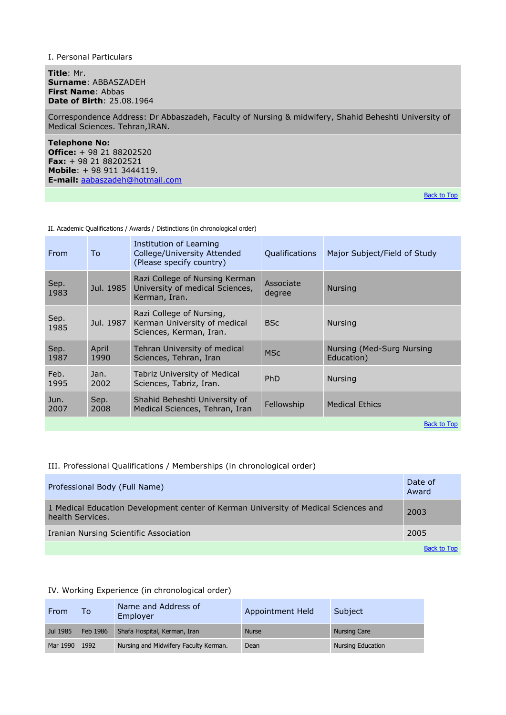Ι. Personal Particulars

**Title**: Mr. **Surname**: ABBASZADEH **First Name**: Abbas **Date of Birth**: 25.08.1964

Correspondence Address: Dr Abbaszadeh, Faculty of Nursing & midwifery, Shahid Beheshti University of Medical Sciences. Tehran,IRAN.

**Telephone No: Office:** + 98 21 88202520 **Fax:** + 98 21 88202521 **Mobile**: + 98 911 3444119. **E-mail:** [aabaszadeh@hotmail.com](mailto:aabaszadeh@hotmail.com) 

[Back to Top](http://nurse.mui.ac.ir/#top)

II. Academic Qualifications / Awards / Distinctions (in chronological order)

| From         | To            | Institution of Learning<br>College/University Attended<br>(Please specify country)  | <b>Qualifications</b> | Major Subject/Field of Study            |
|--------------|---------------|-------------------------------------------------------------------------------------|-----------------------|-----------------------------------------|
| Sep.<br>1983 | Jul. 1985     | Razi College of Nursing Kerman<br>University of medical Sciences,<br>Kerman, Iran.  | Associate<br>degree   | <b>Nursing</b>                          |
| Sep.<br>1985 | Jul. 1987     | Razi College of Nursing,<br>Kerman University of medical<br>Sciences, Kerman, Iran. | <b>BSc</b>            | <b>Nursing</b>                          |
| Sep.<br>1987 | April<br>1990 | Tehran University of medical<br>Sciences, Tehran, Iran                              | <b>MSc</b>            | Nursing (Med-Surg Nursing<br>Education) |
| Feb.<br>1995 | Jan.<br>2002  | Tabriz University of Medical<br>Sciences, Tabriz, Iran.                             | PhD                   | <b>Nursing</b>                          |
| Jun.<br>2007 | Sep.<br>2008  | Shahid Beheshti University of<br>Medical Sciences, Tehran, Iran                     | Fellowship            | <b>Medical Ethics</b>                   |
|              |               |                                                                                     |                       | <b>Back to Top</b>                      |

# III. Professional Qualifications / Memberships (in chronological order)

| Professional Body (Full Name)                                                                           | Date of<br>Award   |
|---------------------------------------------------------------------------------------------------------|--------------------|
| 1 Medical Education Development center of Kerman University of Medical Sciences and<br>health Services. | 2003               |
| Iranian Nursing Scientific Association                                                                  | 2005               |
|                                                                                                         | <b>Back to Top</b> |

#### IV. Working Experience (in chronological order)

| From     | To       | Name and Address of<br>Employer       | Appointment Held | Subject             |
|----------|----------|---------------------------------------|------------------|---------------------|
| Jul 1985 | Feb 1986 | Shafa Hospital, Kerman, Iran          | <b>Nurse</b>     | <b>Nursing Care</b> |
| Mar 1990 | 1992     | Nursing and Midwifery Faculty Kerman. | Dean             | Nursing Education   |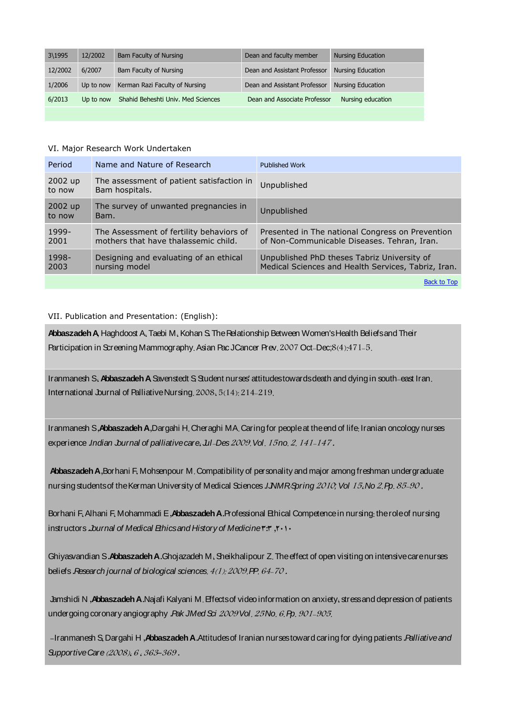| 3\1995  | 12/2002   | Bam Faculty of Nursing             | Dean and faculty member      | <b>Nursing Education</b> |
|---------|-----------|------------------------------------|------------------------------|--------------------------|
| 12/2002 | 6/2007    | Bam Faculty of Nursing             | Dean and Assistant Professor | <b>Nursing Education</b> |
| 1/2006  | Up to now | Kerman Razi Faculty of Nursing     | Dean and Assistant Professor | <b>Nursing Education</b> |
| 6/2013  | Up to now | Shahid Beheshti Univ. Med Sciences | Dean and Associate Professor | Nursing education        |
|         |           |                                    |                              |                          |

### VI. Major Research Work Undertaken

| Period            | Name and Nature of Research                                                      | <b>Published Work</b>                                                                              |
|-------------------|----------------------------------------------------------------------------------|----------------------------------------------------------------------------------------------------|
| 2002 up<br>to now | The assessment of patient satisfaction in<br>Bam hospitals.                      | Unpublished                                                                                        |
| 2002 up<br>to now | The survey of unwanted pregnancies in<br>Bam.                                    | Unpublished                                                                                        |
| 1999-<br>2001     | The Assessment of fertility behaviors of<br>mothers that have thalassemic child. | Presented in The national Congress on Prevention<br>of Non-Communicable Diseases. Tehran, Iran.    |
| 1998-<br>2003     | Designing and evaluating of an ethical<br>nursing model                          | Unpublished PhD theses Tabriz University of<br>Medical Sciences and Health Services, Tabriz, Iran. |
|                   |                                                                                  | <b>Back to Top</b>                                                                                 |

# VII. Publication and Presentation: (English):

**[AbbaszadehA](http://www.ncbi.nlm.nih.gov/sites/entrez?Db=pubmed&Cmd=Search&Term=%22Abbaszadeh%20A%22%5BAuthor%5D&itool=EntrezSystem2.PEntrez.Pubmed.Pubmed_ResultsPanel.Pubmed_DiscoveryPanel.Pubmed_RVAbstractPlus),** [Haghdoost](http://www.ncbi.nlm.nih.gov/sites/entrez?Db=pubmed&Cmd=Search&Term=%22Haghdoost%20A%22%5BAuthor%5D&itool=EntrezSystem2.PEntrez.Pubmed.Pubmed_ResultsPanel.Pubmed_DiscoveryPanel.Pubmed_RVAbstractPlus) A [Taebi](http://www.ncbi.nlm.nih.gov/sites/entrez?Db=pubmed&Cmd=Search&Term=%22Taebi%20M%22%5BAuthor%5D&itool=EntrezSystem2.PEntrez.Pubmed.Pubmed_ResultsPanel.Pubmed_DiscoveryPanel.Pubmed_RVAbstractPlus) M [Kohan](http://www.ncbi.nlm.nih.gov/sites/entrez?Db=pubmed&Cmd=Search&Term=%22Kohan%20S%22%5BAuthor%5D&itool=EntrezSystem2.PEntrez.Pubmed.Pubmed_ResultsPanel.Pubmed_DiscoveryPanel.Pubmed_RVAbstractPlus) S**.** TheRelationship Between Women'sHealth Beliefsand Their Participation in Screening Mammography. Asian Pac [JCancer](javascript:AL_get(this,%20) Prev. 2007 Oct-Dec;8(4):471-5.

[Iranmanesh](http://www.ncbi.nlm.nih.gov/sites/entrez?Db=pubmed&Cmd=Search&Term=%22Iranmanesh%20S%22%5BAuthor%5D&itool=EntrezSystem2.PEntrez.Pubmed.Pubmed_ResultsPanel.Pubmed_DiscoveryPanel.Pubmed_RVAbstractPlus) S. Abbaszadeh A Savenstedt S. Student nurses' attitudes towards death and dying in south-east Iran. International Journal of Palliative Nursing  $2008, 5(14)$ :  $214-219$ .

Iranmanesh S **,AbbaszadehA ,**Dargahi H Cheraghi MA Caring for peopleat theend of life Iranian oncology nurses experience *.Indian Journal of palliative care. Jul-Des* 2009. Vol. 15 no. 2, 141-147.

Abbaszadeh A, Borhani F. Mohsenpour M. Compatibility of personality and major among freshman undergraduate nursing students of the Kerman University of Medical Sciences .*IJNMR Spring 2010; Vol 15, No 2, Pp. 85-90.* 

Borhani F Alhani F Mohammadi E **,AbbaszadehA .**Professional Ethical Competencein nursing theroleof nursing instructors **.***Journal of Medical Ethicsand History of Medicine***3:3 ,2010**

Ghiyasvandian S. Abbaszadeh A.Ghojazadeh M. Sheikhalipour Z. The effect of open visiting on intensive care nurses beliefs .*Research journal of biological sciences.*  $4(1)$ : 2009. PP. 64-70.

Jamshidi N **,AbbaszadehA .**Najafi Kalyani M Effectsof videoinformation on anxiety stressand depression of patients undergoing coronary angiography .*Pak JMed Sci 2009 Vol. 25 No. 6. Pp. 901-905.* 

**-**Iranmanesh S Dargahi H **,AbbaszadehA .**Attitudesof Iranian nursestoward caring for dying patients **.***Palliativeand Supportive Care* (2008), 6, 363-369.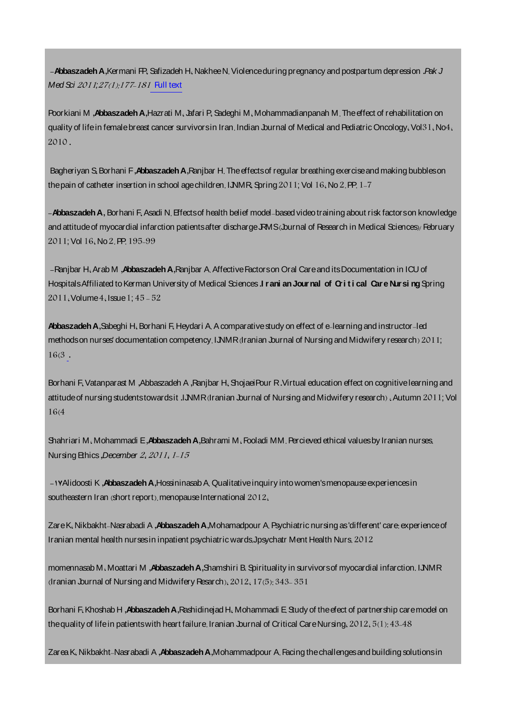**-AbbaszadehA ,**Kermani FP Safizadeh H NakheeN Violenceduring pregnancy and postpartum depression **.***Pak J Med Sci 2011;27(1):177-181* Full [text](http://aabbaszadeh.ir/LinkClick.aspx?fileticket=y_0Ny16mezs%3d&tabid=73&language=fa-IR)

Poorkiani M **,Abbaszadeh A**,Hazrati M, Jafari P, Sadeghi M, Mohammadianpanah M. The effect of rehabilitation on quality of lifein female breast cancer survivorsin Iran. Indian Journal of Medical and Pediatric Oncology. Vol 31. No4. **.**

Bagheriyan S Borhani F **,AbbaszadehA ,**Ranjbar H Theeffectsof regular breathing exerciseand making bubbleson the pain of catheter insertion in school age children. IJNMR Spring  $2011$ ; Vol  $16$ , No  $2$ , PP,  $1-7$ 

**-AbbaszadehA ,** Borhani F Asadi N Effectsof health belief model based videotraining about risk factorson knowledge and attitude of myocardial infarction patients after discharge JRMS (burnal of Research in Medical Sciences)/February 2011; Vol 16, No 2, PP, 195-99

**-**Ranjbar H Arab M **,AbbaszadehA ,**Ranjbar A AffectiveFactorson Oral Careand itsDocumentation in ICU of HospitalsAffiliated toKerman University of Medical Sciences **.I r ani anJournal of Cri t i cal Car e Nursi ng**Spring  $2011$ , Volume  $4$ , Issue  $1$ ;  $45 - 52$ 

Abbaszadeh A, Sabeghi H. Borhani F. Heydari A. A comparative study on effect of e-learning and instructor-led methods on nurses' documentation competency. IJNMR (Iranian Journal of Nursing and Midwifery research)  $2011$ ; **[.](http://faculty.kmu.ac.ir/fs/WebSite/20/PageStructure/editor/content/543/IJNMR%20Sabeghi.pdf)**

Borhani F. Vatanparast M , Abbaszadeh A , [R](http://www.ijnmr.mui.ac.ir/index.php/ijnmr/article/view/576)anjbar H. Shojaei Pour R . Virtual education effect on cognitive learning and attitude of nursing [studentstowardsit](http://www.ijnmr.mui.ac.ir/index.php/ijnmr/article/view/576) **.IJNMR** (Iranian Journal of Nursing and Midwifery research), Autumn 2011; Vol  $16(4)$ 

Shahriari M. Mohammadi E, Abbaszadeh A, Bahrami M. Fooladi MM. Percieved ethical values by Iranian nurses. NursingEthics **,***December*

**-17**Alidoosti K **,AbbaszadehA ,**HossininasabA Qualitativeinquiry into women'smenopauseexperiencesin southeastern Iran (short report). menopause International  $2012$ ,

ZareK Nikbakht Nasrabadi A **,AbbaszadehA ,**Mohamadpour A Psychiatric nursing as'different' care experienceof Iranian mental health nursesin inpatient psychiatric wardsJpsychatr Ment Health Nurs

momennasab M Moattari M **,AbbaszadehA ,**Shamshiri B Spirituality in survivorsof myocardial infarction IJNMR  $I$  (Iranian Journal of Nursing and Midwifery Resarch),  $2012$ ,  $17(5)$ :  $343-351$ 

Borhani F Khoshab H **.Abbaszadeh A** Rashidineiad H Mohammadi E Study of the efect of partnership care model on the quality of life in patients with heart failure. Iranian Journal of Critical Care Nursing,  $2012.5(1):43-48$ 

ZareaK Nikbakht Nasrabadi A **,AbbaszadehA,**Mohammadpour A Facing thechallengesand building solutionsin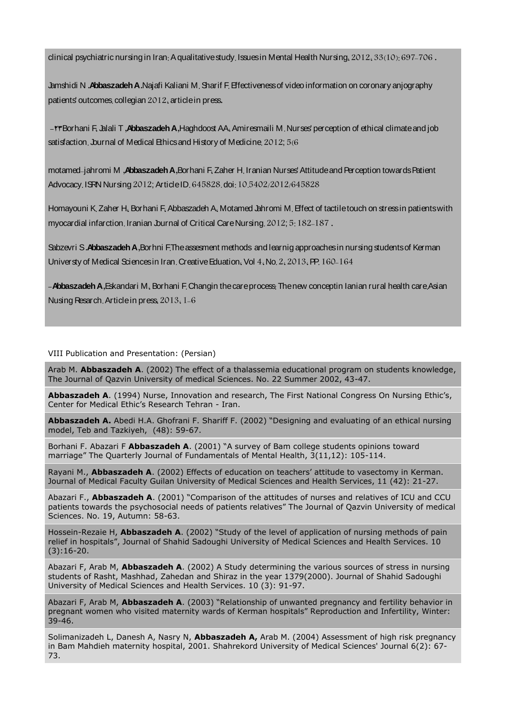clinical psychiatric nursing in Iran; A qualitative study, Issues in Mental Health Nursing,  $2012, 33(10), 697-706$ .

Jamshidi N **.AbbaszadehA .**Najafi Kaliani M Sharif F Effectivenessof video information on coronary anjography patients' outcomes collegian 2012, article in press.

**-23**Borhani F Jalali T **,AbbaszadehA ,**Haghdoost AA Amiresmaili M Nurses' perception of ethical climateand job satisfaction. Journal of Medical Ethics and History of Medicine.  $2012;56$ 

motamed jahromi M **,AbbaszadehA ,**Borhani F Zaher H Iranian Nurses'AttitudeandPerception towardsPatient Advocacy. ISRN Nursing 2012; Article ID. 645828. doi: 10.5402/2012/645828

Homayouni K Zaher H. Borhani F. Abbaszadeh A. Motamed Jahromi M. Effect of tactile touch on stress in patients with myocardial infarction. Iranian Journal of Critical CareNursing 2012; 5:182-187.

Sabzevri S**.AbbaszadehA,**Borhni FTheassesment methods and learnig approachesin nursing studentsof Kerman Universty of Medical Sciences in Iran. Creative Eduation. Vol 4. No. 2. 2013. PP. 160-164

**-Abbaszadeh A ,Eskandari M , Borhani F Changin the careprocess Thenew conceptin Ianian rural health care Asian** Nusing Resarch. Article in press, 2013, 1-6

# VIII Publication and Presentation: (Persian)

Arab M. **Abbaszadeh A**. (2002) The effect of a thalassemia educational program on students knowledge, The Journal of Qazvin University of medical Sciences. No. 22 Summer 2002, 43-47.

**Abbaszadeh A**. (1994) Nurse, Innovation and research, The First National Congress On Nursing Ethic's, Center for Medical Ethic's Research Tehran - Iran.

**Abbaszadeh A.** Abedi H.A. Ghofrani F. Shariff F. (2002) "Designing and evaluating of an ethical nursing model, Teb and Tazkiyeh, (48): 59-67.

Borhani F. Abazari F **Abbaszadeh A**. (2001) "A survey of Bam college students opinions toward marriage" The Quarterly Journal of Fundamentals of Mental Health, 3(11,12): 105-114.

Rayani M., **Abbaszadeh A**. (2002) Effects of education on teachers' attitude to vasectomy in Kerman. Journal of Medical Faculty Guilan University of Medical Sciences and Health Services, 11 (42): 21-27.

Abazari F., **Abbaszadeh A**. (2001) "Comparison of the attitudes of nurses and relatives of ICU and CCU patients towards the psychosocial needs of patients relatives" The Journal of Qazvin University of medical Sciences. No. 19, Autumn: 58-63.

Hossein-Rezaie H, **Abbaszadeh A**. (2002) "Study of the level of application of nursing methods of pain relief in hospitals", Journal of Shahid Sadoughi University of Medical Sciences and Health Services. 10 (3):16-20.

Abazari F, Arab M, **Abbaszadeh A**. (2002) A Study determining the various sources of stress in nursing students of Rasht, Mashhad, Zahedan and Shiraz in the year 1379(2000). Journal of Shahid Sadoughi University of Medical Sciences and Health Services. 10 (3): 91-97.

Abazari F, Arab M, **Abbaszadeh A**. (2003) "Relationship of unwanted pregnancy and fertility behavior in pregnant women who visited maternity wards of Kerman hospitals" Reproduction and Infertility, Winter: 39-46.

Solimanizadeh L, Danesh A, Nasry N, **Abbaszadeh A,** Arab M. (2004) Assessment of high risk pregnancy in Bam Mahdieh maternity hospital, 2001. Shahrekord University of Medical Sciences' Journal 6(2): 67- 73.